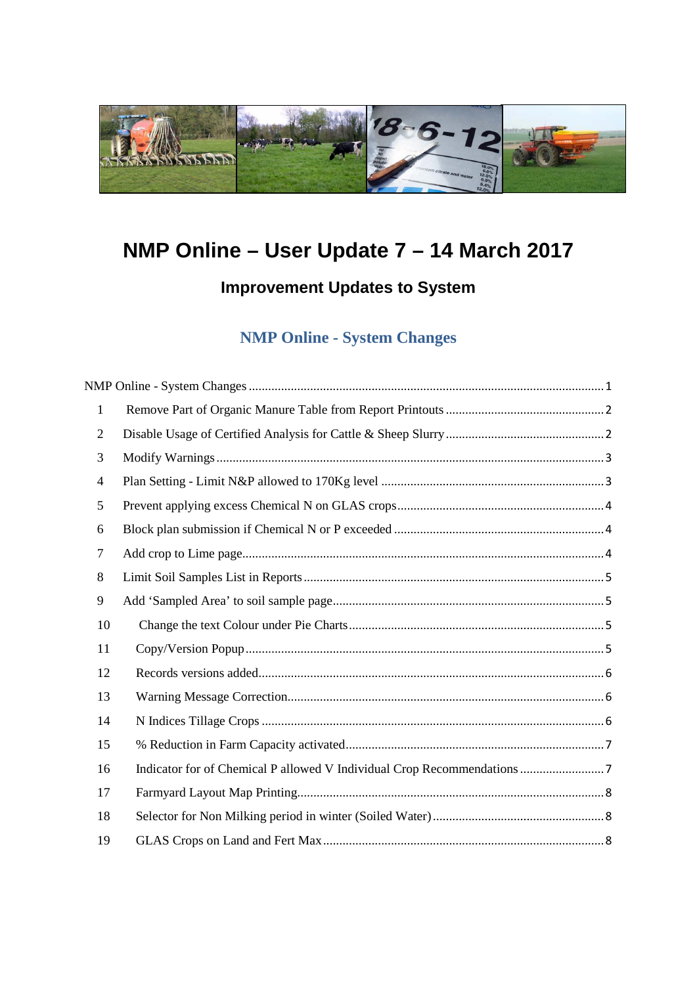<span id="page-0-0"></span>

# **NMP Online – User Update 7 – 14 March 2017**

## **Improvement Updates to System**

## **NMP Online - System Changes**

| $\mathbf{1}$   |  |
|----------------|--|
| $\overline{2}$ |  |
| 3              |  |
| $\overline{4}$ |  |
| 5              |  |
| 6              |  |
| $\overline{7}$ |  |
| 8              |  |
| 9              |  |
| 10             |  |
| 11             |  |
| 12             |  |
| 13             |  |
| 14             |  |
| 15             |  |
| 16             |  |
| 17             |  |
| 18             |  |
| 19             |  |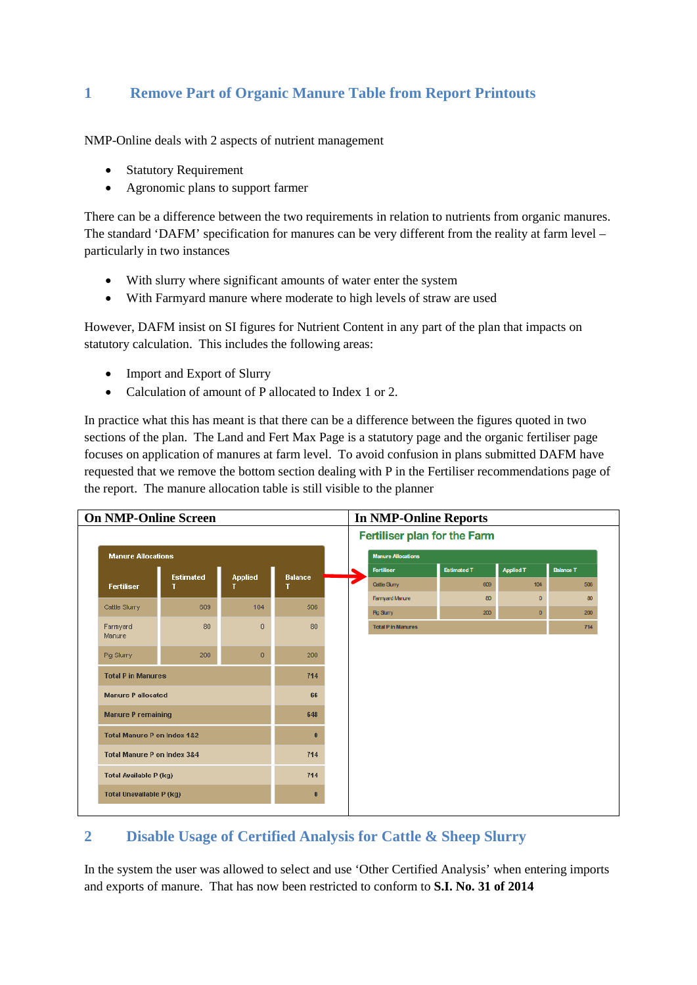### <span id="page-1-0"></span>**1 Remove Part of Organic Manure Table from Report Printouts**

NMP-Online deals with 2 aspects of nutrient management

- Statutory Requirement
- Agronomic plans to support farmer

There can be a difference between the two requirements in relation to nutrients from organic manures. The standard 'DAFM' specification for manures can be very different from the reality at farm level – particularly in two instances

- With slurry where significant amounts of water enter the system
- With Farmyard manure where moderate to high levels of straw are used

However, DAFM insist on SI figures for Nutrient Content in any part of the plan that impacts on statutory calculation. This includes the following areas:

- Import and Export of Slurry
- Calculation of amount of P allocated to Index 1 or 2.

In practice what this has meant is that there can be a difference between the figures quoted in two sections of the plan. The Land and Fert Max Page is a statutory page and the organic fertiliser page focuses on application of manures at farm level. To avoid confusion in plans submitted DAFM have requested that we remove the bottom section dealing with P in the Fertiliser recommendations page of the report. The manure allocation table is still visible to the planner



## <span id="page-1-1"></span>**2 Disable Usage of Certified Analysis for Cattle & Sheep Slurry**

In the system the user was allowed to select and use 'Other Certified Analysis' when entering imports and exports of manure. That has now been restricted to conform to **S.I. No. 31 of 2014**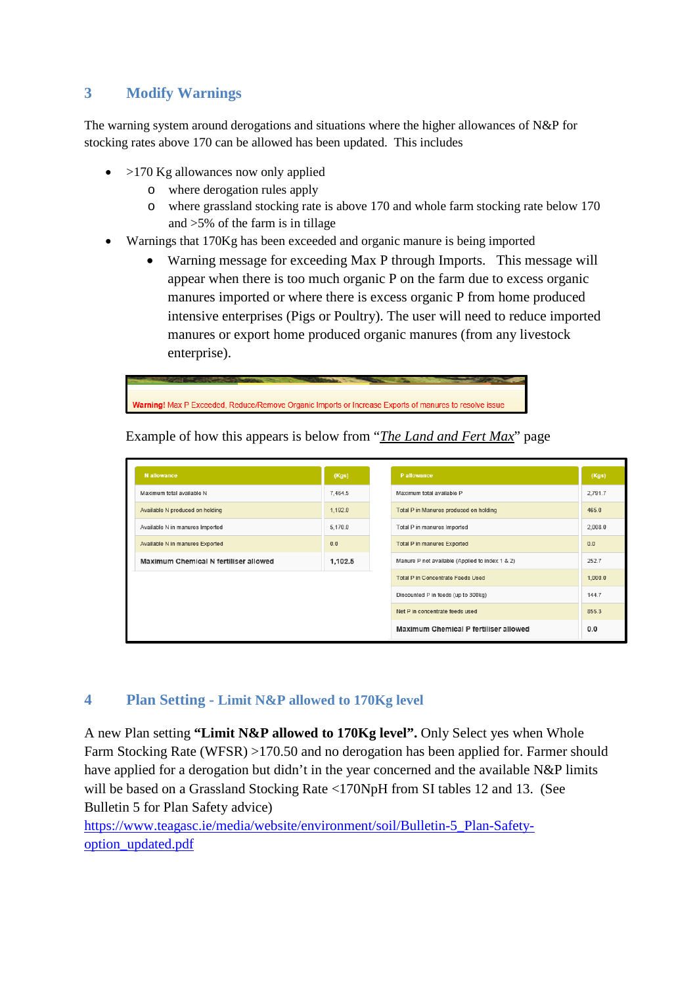### <span id="page-2-0"></span>**3 Modify Warnings**

The warning system around derogations and situations where the higher allowances of N&P for stocking rates above 170 can be allowed has been updated. This includes

- $>170$  Kg allowances now only applied
	- o where derogation rules apply<br>o where grassland stocking rate
	- where grassland stocking rate is above 170 and whole farm stocking rate below 170 and >5% of the farm is in tillage
- Warnings that 170Kg has been exceeded and organic manure is being imported
	- Warning message for exceeding Max P through Imports. This message will appear when there is too much organic P on the farm due to excess organic manures imported or where there is excess organic P from home produced intensive enterprises (Pigs or Poultry). The user will need to reduce imported manures or export home produced organic manures (from any livestock enterprise).



Example of how this appears is below from "*The Land and Fert Max*" page

| N allowance                           | (Kgs)   |                                 | P allowance                                     | (Kgs)   |
|---------------------------------------|---------|---------------------------------|-------------------------------------------------|---------|
| Maximum total available N             | 7,464.5 |                                 | Maximum total available P                       | 2,791.7 |
| Available N produced on holding       | 1,192.0 |                                 | Total P in Manures produced on holding          | 465.0   |
| Available N in manures Imported       | 5,170.0 |                                 | Total P in manures Imported                     | 2,008.0 |
| Available N in manures Exported       | 0.0     |                                 | <b>Total P in manures Exported</b>              | 0.0     |
| Maximum Chemical N fertiliser allowed | 1,102.5 |                                 | Manure P not available (Applied to index 1 & 2) | 252.7   |
|                                       |         |                                 | <b>Total P in Concentrate Feeds Used</b>        | 1,000.0 |
|                                       |         |                                 | Discounted P in feeds (up to 300kg)             | 144.7   |
|                                       |         | Net P in concentrate feeds used | 855.3                                           |         |
|                                       |         |                                 | Maximum Chemical P fertiliser allowed           | 0.0     |

#### <span id="page-2-1"></span>**4 Plan Setting - Limit N&P allowed to 170Kg level**

A new Plan setting **"Limit N&P allowed to 170Kg level".** Only Select yes when Whole Farm Stocking Rate (WFSR) >170.50 and no derogation has been applied for. Farmer should have applied for a derogation but didn't in the year concerned and the available N&P limits will be based on a Grassland Stocking Rate <170NpH from SI tables 12 and 13. (See Bulletin 5 for Plan Safety advice)

[https://www.teagasc.ie/media/website/environment/soil/Bulletin-5\\_Plan-Safety](https://www.teagasc.ie/media/website/environment/soil/Bulletin-5_Plan-Safety-option_updated.pdf)[option\\_updated.pdf](https://www.teagasc.ie/media/website/environment/soil/Bulletin-5_Plan-Safety-option_updated.pdf)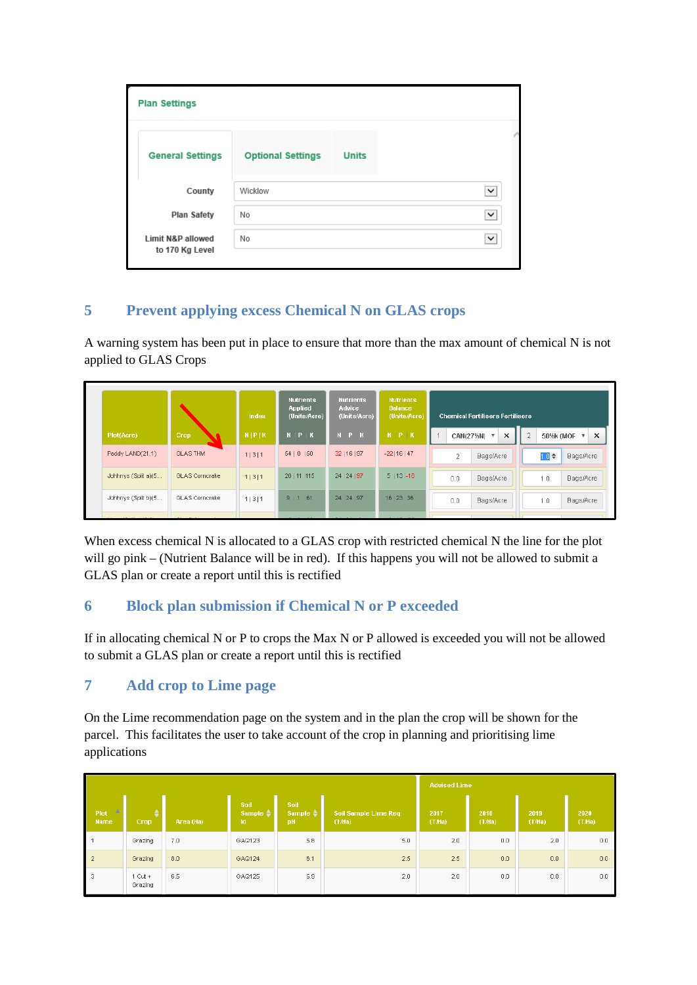| <b>Plan Settings</b>                            |                          |              |              |
|-------------------------------------------------|--------------------------|--------------|--------------|
| <b>General Settings</b>                         | <b>Optional Settings</b> | <b>Units</b> |              |
| County                                          | Wicklow                  |              | $\checkmark$ |
| <b>Plan Safety</b>                              | No                       |              | ✓            |
| <b>Limit N&amp;P allowed</b><br>to 170 Kg Level | No                       |              | $\checkmark$ |

## <span id="page-3-0"></span>**5 Prevent applying excess Chemical N on GLAS crops**

A warning system has been put in place to ensure that more than the max amount of chemical N is not applied to GLAS Crops

|                     |                       | Index           | <b>Nutrients</b><br>Applied<br>(Units/Acre) | <b>Nutrients</b><br><b>Advice</b><br>(Units/Acre) | <b>Nutrients</b><br><b>Balance</b><br>(Units/Acre) | <b>Chemical Fertilisers Fertilisers</b> |                         |                |                              |
|---------------------|-----------------------|-----------------|---------------------------------------------|---------------------------------------------------|----------------------------------------------------|-----------------------------------------|-------------------------|----------------|------------------------------|
| Plot(Acre)          | Crop                  | $N$   $P$   $K$ | $N$   $P$   $K$                             | $N$ $P$ $K$                                       | $N$   $P$   $K$                                    |                                         | $\times$<br>CAN(27%N) ▼ | $\overline{2}$ | $\times$<br>50%k (MOF $\tau$ |
| Paddy LAND(21.1)    | <b>GLAS THM</b>       | 1 3 1           | 54   0   50                                 | 32   16   97                                      | $-22 16 47$                                        | 2                                       | Bags/Acre               |                | $1.0 \div$<br>Bags/Acre      |
| Johhnys (Split a)(5 | <b>GLAS</b> Corncrake | 1 3 1           | 20   11   115                               | 24   24   97                                      | $5   13   -18$                                     | 0.0                                     | Bags/Acre               | 1.0            | Bags/Acre                    |
| Johhnys (Split b)(5 | GLAS Corncrake        | 1 3 1           | 9 1<br>61                                   | 24   24   97                                      | 16 23 36                                           | 0.0                                     | <b>Bags/Acre</b>        | 1.0            | Bags/Acre                    |

When excess chemical N is allocated to a GLAS crop with restricted chemical N the line for the plot will go pink – (Nutrient Balance will be in red). If this happens you will not be allowed to submit a GLAS plan or create a report until this is rectified

## <span id="page-3-1"></span>**6 Block plan submission if Chemical N or P exceeded**

If in allocating chemical N or P to crops the Max N or P allowed is exceeded you will not be allowed to submit a GLAS plan or create a report until this is rectified

## <span id="page-3-2"></span>**7 Add crop to Lime page**

On the Lime recommendation page on the system and in the plan the crop will be shown for the parcel. This facilitates the user to take account of the crop in planning and prioritising lime applications

|                                 |                      |           |                                   |                                          |                                      |               | <b>Advised Lime</b> |               |               |
|---------------------------------|----------------------|-----------|-----------------------------------|------------------------------------------|--------------------------------------|---------------|---------------------|---------------|---------------|
| a album<br>Plot:<br><b>Name</b> | Crop                 | Area (Ha) | Soil<br>Sample $\triangleq$<br>1d | <b>Soil</b><br>Sample $\triangleq$<br>pH | <b>Soil Sample Lime Req</b><br>(TMa) | 2017<br>(THa) | 2018<br>(THa)       | 2019<br>(THa) | 2020<br>(THa) |
|                                 | Grazing              | 7.0       | GAQ123                            | 5.8                                      | 5.0                                  | 2.0           | 0.0                 | 2.0           | 0.0           |
| $\overline{2}$                  | Grazing              | 8.0       | GAQ124                            | 6.1                                      | 2.5                                  | 2.5           | 0.0                 | 0.0           | 0.0           |
| 3                               | $1$ Cut +<br>Grazing | 6.5       | GAQ125                            | 5.9                                      | 2.0                                  | 2.0           | 0.0                 | 0.0           | 0.0           |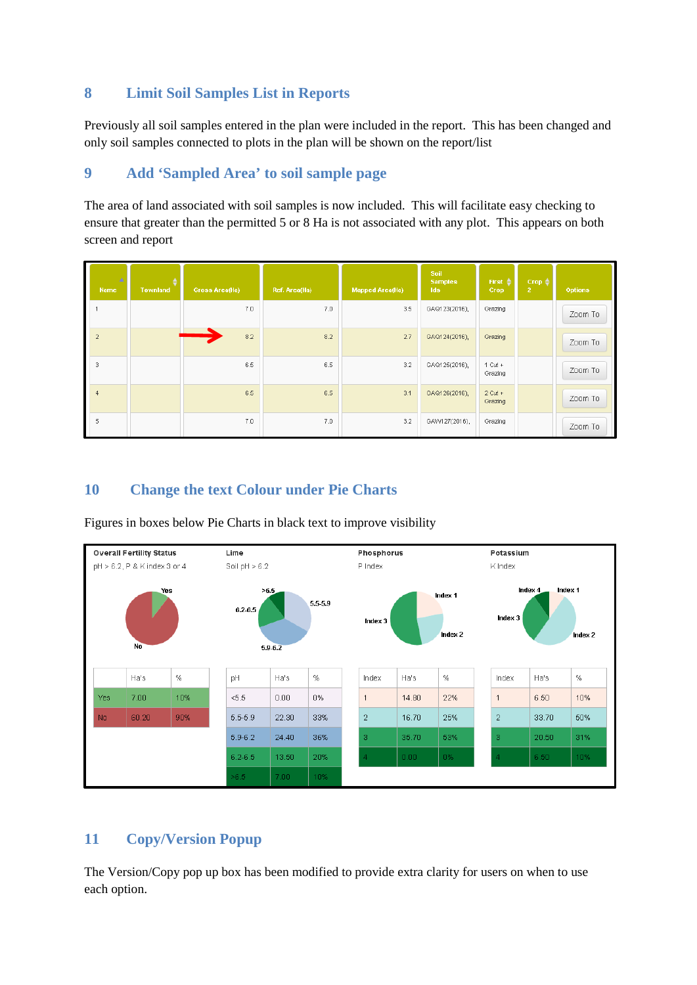### <span id="page-4-0"></span>**8 Limit Soil Samples List in Reports**

Previously all soil samples entered in the plan were included in the report. This has been changed and only soil samples connected to plots in the plan will be shown on the report/list

## <span id="page-4-1"></span>**9 Add 'Sampled Area' to soil sample page**

The area of land associated with soil samples is now included. This will facilitate easy checking to ensure that greater than the permitted 5 or 8 Ha is not associated with any plot. This appears on both screen and report

| $\Delta$<br><b>Name</b> | <b>Townland</b> | <b>Gross Area(Ha)</b> | Ref. Area(Ha) | <b>Mapped Area(Ha)</b> | Soil<br><b>Samples</b><br><b>Ids</b> | First $\triangleq$<br>Crop | Crop $\triangleq$<br>$\overline{2}$ | <b>Options</b> |
|-------------------------|-----------------|-----------------------|---------------|------------------------|--------------------------------------|----------------------------|-------------------------------------|----------------|
|                         |                 | 7.0                   | 7.0           | 3.5                    | GAQ123(2016),                        | Grazing                    |                                     | Zoom To        |
| $\overline{2}$          |                 | 8.2                   | 8.2           | 2.7                    | GAQ124(2016),                        | Grazing                    |                                     | Zoom To        |
| 3                       |                 | 6.5                   | 6.5           | 3.2                    | GAQ125(2016),                        | $1$ Cut +<br>Grazing       |                                     | Zoom To        |
| $\overline{4}$          |                 | 6.5                   | 6.5           | 3.1                    | GAQ126(2016),                        | $2$ Cut +<br>Grazing       |                                     | Zoom To        |
| 5                       |                 | 7.0                   | 7.0           | 3.2                    | GAW127(2016),                        | Grazing                    |                                     | Zoom To        |

### <span id="page-4-2"></span>**10 Change the text Colour under Pie Charts**



Figures in boxes below Pie Charts in black text to improve visibility

## <span id="page-4-3"></span>**11 Copy/Version Popup**

The Version/Copy pop up box has been modified to provide extra clarity for users on when to use each option.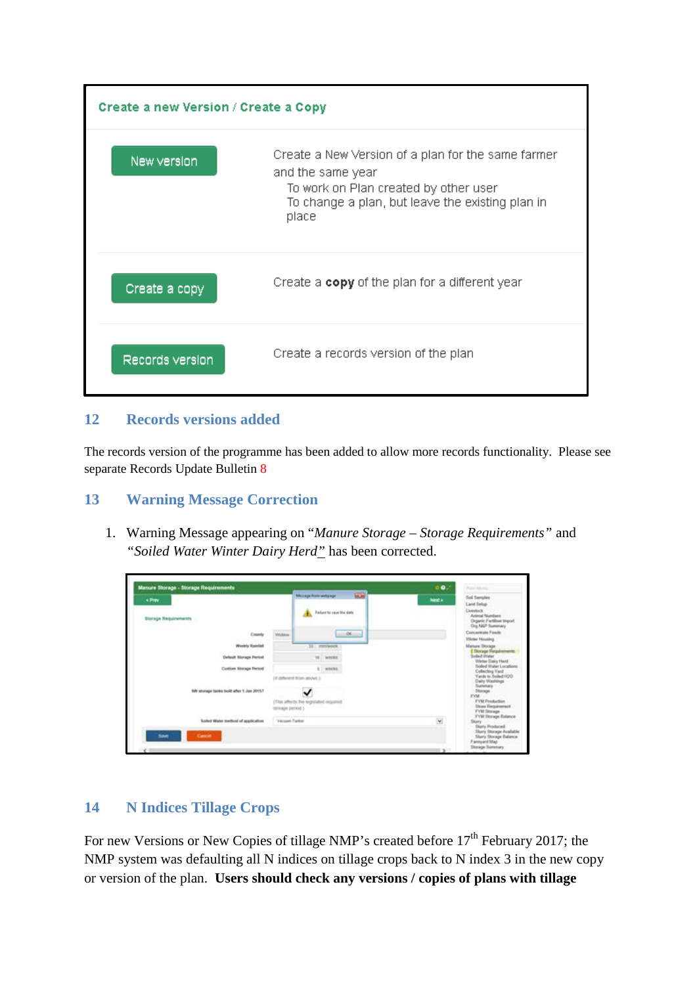

#### <span id="page-5-0"></span>**12 Records versions added**

The records version of the programme has been added to allow more records functionality. Please see separate Records Update Bulletin 8

#### <span id="page-5-1"></span>**13 Warning Message Correction**

1. Warning Message appearing on "*Manure Storage – Storage Requirements"* and *"Soiled Water Winter Dairy Herd"* has been corrected.

| < Prev<br><b>Storage Requirements</b>    |                   | 田田<br>Museum Association (A)<br>Failure to your the data<br>٠ | Next >        | Soil Semplex<br><b>Liend Swings</b><br><b>Livestock</b><br>Animal Numbers<br>Drgamic Fartilliser Import |
|------------------------------------------|-------------------|---------------------------------------------------------------|---------------|---------------------------------------------------------------------------------------------------------|
| County                                   | Wellam            | $^{66}$<br>m                                                  |               | Dig N&P Summary<br>Concentrate Feeds<br>Winter Housing                                                  |
| Weekly Reinfall                          |                   | 31 mm/work                                                    |               | Manure Storage                                                                                          |
| <b>Delaut Storage Period</b>             |                   | m.<br>weeks                                                   |               | Storage Requirements<br><b>Sodied Illater</b><br>Weter Dairy Herd                                       |
| Custom Shongs Persod                     |                   | t weeks                                                       |               | Solled Water Locations<br>Collecting Vard                                                               |
|                                          |                   | (it istherent from above )                                    |               | Vants to Soled H2O<br>Dairy Washings:                                                                   |
| 1209E mid. Frede third sales agencie Wit |                   |                                                               |               | Summary<br><b>Этокарк</b><br><b>FYM</b>                                                                 |
|                                          | titurage period 3 | (This affects the tegniated required)                         |               | <b>FYM Production</b><br><b>Diraw Requirement</b><br><b>FYM Siturage</b>                                |
| Soled Water method of application        | Viscoper Fanker   |                                                               | $\omega$      | FYM Storage Balance<br>Skery.                                                                           |
| Save<br><b>Cancel</b>                    |                   |                                                               |               | Stary Produced<br>Skery Storage Available<br>Story Storage Balance<br>Farmyard Map                      |
| $-200$                                   |                   |                                                               | o s<br>$\sim$ | Storage Summary                                                                                         |

#### <span id="page-5-2"></span>**14 N Indices Tillage Crops**

For new Versions or New Copies of tillage NMP's created before 17<sup>th</sup> February 2017; the NMP system was defaulting all N indices on tillage crops back to N index 3 in the new copy or version of the plan. **Users should check any versions / copies of plans with tillage**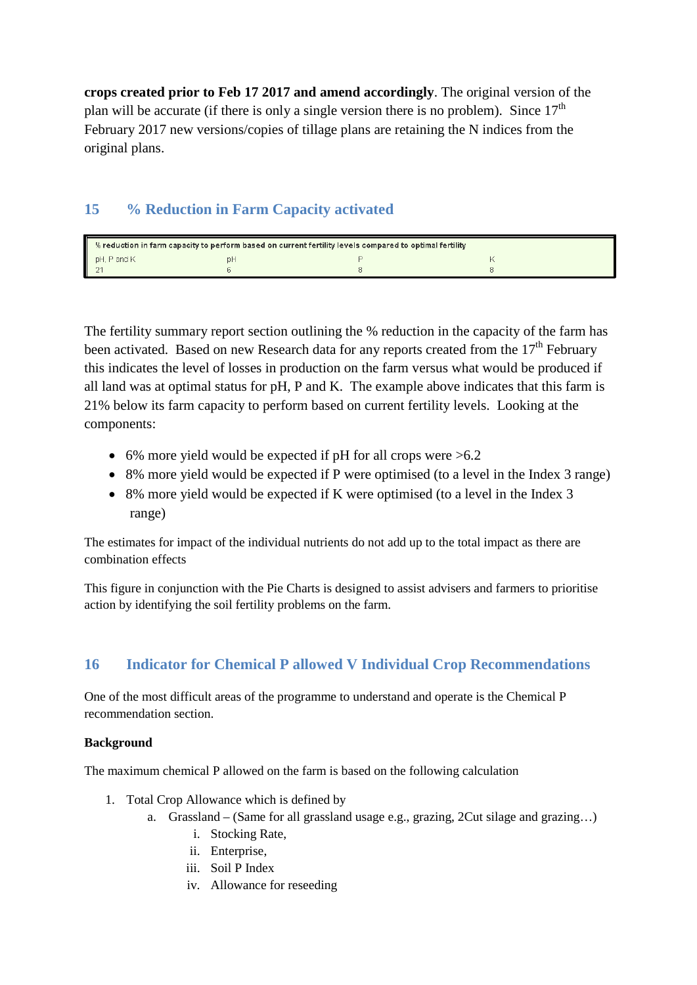**crops created prior to Feb 17 2017 and amend accordingly**. The original version of the plan will be accurate (if there is only a single version there is no problem). Since  $17<sup>th</sup>$ February 2017 new versions/copies of tillage plans are retaining the N indices from the original plans.

### <span id="page-6-0"></span>**15 % Reduction in Farm Capacity activated**

| % reduction in farm capacity to perform based on current fertility levels compared to optimal fertility |    |  |  |  |  |  |  |  |
|---------------------------------------------------------------------------------------------------------|----|--|--|--|--|--|--|--|
| pH, P and K                                                                                             | рF |  |  |  |  |  |  |  |
|                                                                                                         |    |  |  |  |  |  |  |  |

The fertility summary report section outlining the % reduction in the capacity of the farm has been activated. Based on new Research data for any reports created from the  $17<sup>th</sup>$  February this indicates the level of losses in production on the farm versus what would be produced if all land was at optimal status for pH, P and K. The example above indicates that this farm is 21% below its farm capacity to perform based on current fertility levels. Looking at the components:

- 6% more yield would be expected if pH for all crops were  $>6.2$
- 8% more yield would be expected if P were optimised (to a level in the Index 3 range)
- 8% more yield would be expected if K were optimised (to a level in the Index 3 range)

The estimates for impact of the individual nutrients do not add up to the total impact as there are combination effects

This figure in conjunction with the Pie Charts is designed to assist advisers and farmers to prioritise action by identifying the soil fertility problems on the farm.

## <span id="page-6-1"></span>**16 Indicator for Chemical P allowed V Individual Crop Recommendations**

One of the most difficult areas of the programme to understand and operate is the Chemical P recommendation section.

#### **Background**

The maximum chemical P allowed on the farm is based on the following calculation

- 1. Total Crop Allowance which is defined by
	- a. Grassland (Same for all grassland usage e.g., grazing,  $2$ Cut silage and grazing...)
		- i. Stocking Rate,
		- ii. Enterprise,
		- iii. Soil P Index
		- iv. Allowance for reseeding